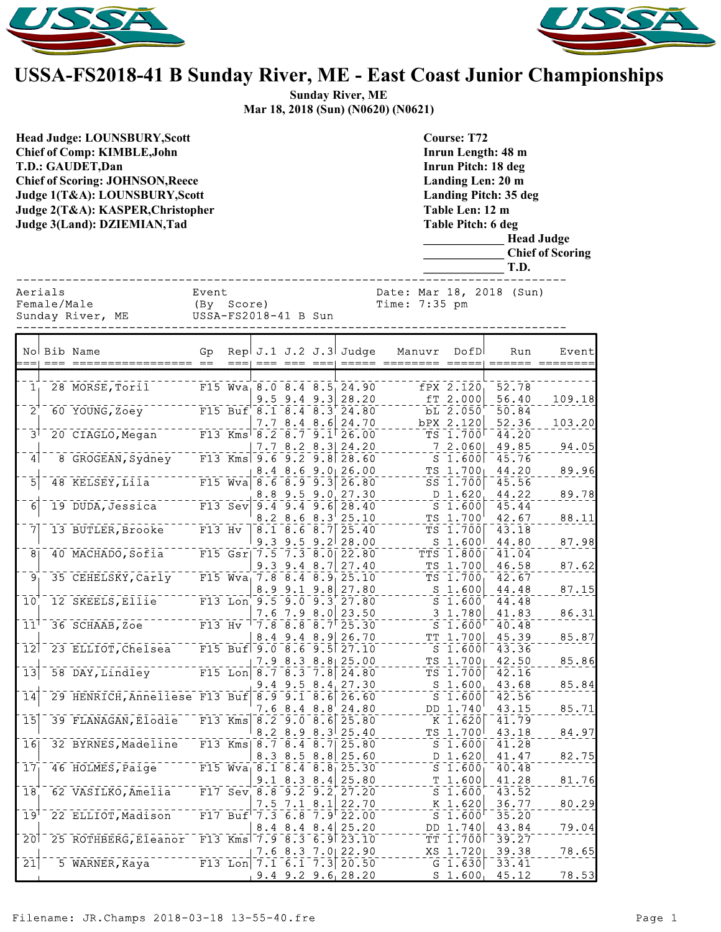



## **USSA-FS2018-41 B Sunday River, ME - East Coast Junior Championships**

**Sunday River, ME Mar 18, 2018 (Sun) (N0620) (N0621)**

| <b>Head Judge: LOUNSBURY, Scott</b><br><b>Chief of Comp: KIMBLE, John</b><br>T.D.: GAUDET, Dan<br><b>Chief of Scoring: JOHNSON, Reece</b><br>Judge 1(T&A): LOUNSBURY, Scott<br>Judge 2(T&A): KASPER, Christopher<br>Judge 3(Land): DZIEMIAN, Tad |                        |                                           |                                             |      |                                                               |                   |  | <b>Course: T72</b><br>Inrun Length: 48 m<br><b>Inrun Pitch: 18 deg</b><br>Landing Len: 20 m<br>Landing Pitch: 35 deg<br>Table Len: 12 m<br><b>Table Pitch: 6 deg</b><br><b>Head Judge</b><br><b>Chief of Scoring</b><br>T.D. |                                           |                                                      |                |        |  |
|--------------------------------------------------------------------------------------------------------------------------------------------------------------------------------------------------------------------------------------------------|------------------------|-------------------------------------------|---------------------------------------------|------|---------------------------------------------------------------|-------------------|--|------------------------------------------------------------------------------------------------------------------------------------------------------------------------------------------------------------------------------|-------------------------------------------|------------------------------------------------------|----------------|--------|--|
|                                                                                                                                                                                                                                                  | Aerials<br>Female/Male | Sunday River, ME                          | Event<br>(By Score)<br>USSA-FS2018-41 B Sun |      |                                                               |                   |  |                                                                                                                                                                                                                              | Date: Mar 18, 2018 (Sun)<br>Time: 7:35 pm |                                                      |                |        |  |
| $=$                                                                                                                                                                                                                                              |                        | No Bib Name                               | Gp                                          | $==$ |                                                               |                   |  | Rep $J.1 J.2 J.3$ Judge                                                                                                                                                                                                      | Manuvr<br>=== === ===  ===== ========     | DofD                                                 | Run            | Event  |  |
|                                                                                                                                                                                                                                                  |                        |                                           |                                             |      |                                                               |                   |  |                                                                                                                                                                                                                              |                                           |                                                      |                |        |  |
| $\overline{\mathbf{1}}_1$                                                                                                                                                                                                                        |                        | 28 MORSE, Toril                           |                                             |      |                                                               | $9.5$ 9.4 9.3     |  | $F15 Wva_1 8.0 8.4 8.5 24.90$<br>28.20                                                                                                                                                                                       |                                           | fPX 2.120<br>fT 2.000                                | 52.78<br>56.40 | 109.18 |  |
| $\overline{2}$                                                                                                                                                                                                                                   |                        | 60 YOUNG, Zoey                            |                                             |      |                                                               |                   |  | $\overline{F15}$ Buf 8.1 8.4 8.3 24.80                                                                                                                                                                                       |                                           | $bL^2$ , $050$                                       | 50.84          |        |  |
|                                                                                                                                                                                                                                                  |                        |                                           |                                             |      |                                                               | 7.78.48.6         |  | 24.70                                                                                                                                                                                                                        |                                           | bPX 2.120                                            | 52.36          | 103.20 |  |
| آ3                                                                                                                                                                                                                                               |                        | 20 CIAGLO, Megan                          |                                             |      | $F13$ Kms <sup><math>-8.2</math></sup> $-8.7$ <sup>-9.1</sup> |                   |  | 26.00                                                                                                                                                                                                                        |                                           | $TS$ 1.700                                           | 44.20          |        |  |
| $\vert 4 \vert$                                                                                                                                                                                                                                  |                        | 8 GROGEAN, Sydney                         |                                             |      |                                                               |                   |  | $7.7$ 8.2 8.3 24.20<br>F13 Kms 9.6 9.2 9.8 28.60                                                                                                                                                                             |                                           | 72.060<br>$S_1.600$                                  | 49.85<br>45.76 | 94.05  |  |
|                                                                                                                                                                                                                                                  |                        |                                           |                                             |      |                                                               |                   |  | $8.4$ 8.6 9.0 26.00                                                                                                                                                                                                          |                                           | $TS$ 1.700                                           | 44.20          | 89.96  |  |
| $\overline{5}$                                                                                                                                                                                                                                   |                        | $48$ KELSEY, Lila                         |                                             |      |                                                               |                   |  | F15 Wva $\begin{vmatrix} 6.6 & 8.9 & 9.3 \end{vmatrix}$ 26.80                                                                                                                                                                |                                           | SS 1.700                                             | 45.56          |        |  |
|                                                                                                                                                                                                                                                  |                        |                                           |                                             |      |                                                               |                   |  | $8.8$ 9.5 9.0 27.30                                                                                                                                                                                                          |                                           | D 1.620                                              | 44.22          | 89.78  |  |
| $\overline{6}$                                                                                                                                                                                                                                   |                        | $19$ $DUDA, Jessica$                      |                                             |      | F13 Sev $9.4 - 9.4 - 9.6$                                     |                   |  | $\sqrt{28.40}$<br>$8.2$ $8.6$ $8.3$ $25.10$                                                                                                                                                                                  |                                           | $S$ 1.600<br>TS 1.700                                | 45.44<br>42.67 |        |  |
| 7                                                                                                                                                                                                                                                |                        | 13 BUTLER, Brooke                         | $F13$ Hv                                    |      |                                                               |                   |  | $\sqrt{8.1}$ $\sqrt{8.6}$ $\sqrt{8.7}$ $\sqrt{25.40}$                                                                                                                                                                        |                                           | TS 1.700                                             | 43.18          | 88.11  |  |
|                                                                                                                                                                                                                                                  |                        |                                           |                                             |      |                                                               |                   |  | $9.3$ $9.5$ $9.2$ $28.00$                                                                                                                                                                                                    |                                           | $S$ 1.600                                            | 44.80          | 87.98  |  |
| $\overline{8}$                                                                                                                                                                                                                                   |                        | 40 MACHADO, Sofia                         |                                             |      |                                                               |                   |  | F15 Gsr  7.5 7.3 8.0 22.80                                                                                                                                                                                                   |                                           | TTS 1.800                                            | 41.04          |        |  |
| آ9                                                                                                                                                                                                                                               |                        | 35 CEHELSKY, Carly                        |                                             |      | $F15 Wva_1 7.8 8.4 8.9$                                       |                   |  | $9.3$ $9.4$ $8.7$ 27.40<br>25.10                                                                                                                                                                                             |                                           | $TS$ 1.700<br>$\bar{\rm TS}$ $\bar{\rm 1.700_1}$     | 46.58          | 87.62  |  |
|                                                                                                                                                                                                                                                  |                        |                                           |                                             |      |                                                               | $8.9$ 9.1 9.8     |  | 27.80                                                                                                                                                                                                                        |                                           | $S$ 1.600                                            | 42.67<br>44.48 | 87.15  |  |
| 10                                                                                                                                                                                                                                               |                        | 12 SKEELS, Ellie                          |                                             |      |                                                               |                   |  | F13 Lon $9.5 - 9.0 - 9.3$ 27.80                                                                                                                                                                                              |                                           | $\overline{\mathsf{s}}$ $\overline{\mathsf{1}}$ .600 | 44.48          |        |  |
|                                                                                                                                                                                                                                                  |                        |                                           |                                             |      |                                                               |                   |  | $7.6$ $7.9$ $8.0$ 23.50                                                                                                                                                                                                      |                                           | $3 \; 1.780$                                         | 41.83          | 86.31  |  |
| 11 <sup>1</sup>                                                                                                                                                                                                                                  |                        | 36 SCHAAB, Zoe                            | $F13$ Hv                                    |      |                                                               |                   |  | 17.88.88.7125.30                                                                                                                                                                                                             |                                           | $S$ 1.600                                            | 40.48          |        |  |
| $\overline{1}\overline{2}$                                                                                                                                                                                                                       |                        | 23 ELLIOT, Chelsea                        |                                             |      |                                                               |                   |  | $8.4$ 9.4 8.9 26.70<br>F15 Buf $9.0 8.6 9.5 27.10$                                                                                                                                                                           |                                           | $TT_1.700$<br>$S_1.600$                              | 45.39<br>43.36 | 85.87  |  |
|                                                                                                                                                                                                                                                  |                        |                                           |                                             |      |                                                               |                   |  | $7.9$ 8.3 8.8 25.00                                                                                                                                                                                                          |                                           | TS 1.700                                             | 42.50          | 85.86  |  |
| $\overline{13}$                                                                                                                                                                                                                                  |                        | 58 DAY, Lindley                           |                                             |      |                                                               |                   |  | F15 Lon $8.7$ $8.3$ $7.8$ 24.80                                                                                                                                                                                              |                                           | $TS$ 1.700                                           | 42.16          |        |  |
|                                                                                                                                                                                                                                                  |                        |                                           |                                             |      |                                                               |                   |  | $9.4$ $9.5$ $8.4$ 27.30                                                                                                                                                                                                      |                                           | S <sub>1.600</sub>                                   | 43.68          | 85.84  |  |
| $\overline{14}$                                                                                                                                                                                                                                  |                        | 29 HENRICH, Anneliese F13 Buf 8.9 9.1 8.6 |                                             |      |                                                               | 7.68.48.8         |  | 26.60<br>24.80                                                                                                                                                                                                               |                                           | $S$ 1.600<br>DD 1.740                                | 42.56<br>43.15 | 85.71  |  |
| $\overline{15}$                                                                                                                                                                                                                                  |                        | 39 FLANAGAN, Elodie                       |                                             |      |                                                               |                   |  | F13 Kms $8.2 - 9.0 - 8.6$ 25.80                                                                                                                                                                                              |                                           | $K$ 1.620                                            | 41.79          |        |  |
|                                                                                                                                                                                                                                                  |                        |                                           |                                             |      |                                                               |                   |  | $8.2$ $8.9$ $8.3$ $25.40$                                                                                                                                                                                                    |                                           | TS 1.700                                             | 43.18          | 84.97  |  |
| $\overline{1}$ 6                                                                                                                                                                                                                                 |                        | 32 BYRNES, Madeline                       |                                             |      |                                                               |                   |  |                                                                                                                                                                                                                              |                                           | $S$ 1.600                                            | 41.28          |        |  |
| $\overline{17}$                                                                                                                                                                                                                                  |                        | 46 HOLMES, Paige                          |                                             |      | F15 $Wva$ <sup>8.1 8.4</sup> 8.8                              | $8.3$ $8.5$ $8.8$ |  | 25.60<br>25.30                                                                                                                                                                                                               |                                           | D 1.620<br>S <sub>1.600</sub>                        | 41.47<br>40.48 | 82.75  |  |
|                                                                                                                                                                                                                                                  |                        |                                           |                                             |      |                                                               | $9.1$ 8.3 8.4     |  | 25.80                                                                                                                                                                                                                        |                                           | $T_1.600$                                            | 41.28          | 81.76  |  |
| 18                                                                                                                                                                                                                                               |                        | 62 VASILKO, Amelia                        |                                             |      | F17 Sev 8.8 9.2 9.2                                           |                   |  | 27.20                                                                                                                                                                                                                        |                                           | S <sub>1.600</sub>                                   | 43.52          |        |  |
|                                                                                                                                                                                                                                                  |                        |                                           |                                             |      |                                                               | $7.5$ $7.1$ $8.1$ |  | 22.70                                                                                                                                                                                                                        |                                           | $K$ 1.620                                            | 36.77          | 80.29  |  |
| 19 <sup>1</sup>                                                                                                                                                                                                                                  |                        | 22 ELLIOT, Madison                        |                                             |      |                                                               |                   |  | $F17$ Buf <sup><math>-7.3</math></sup> 6.8 7.9 22.00<br>$8.4$ $8.4$ $8.4$ $25.20$                                                                                                                                            |                                           | $S$ 1.600<br>DD 1.740                                | 35.20<br>43.84 | 79.04  |  |
| $\overline{20}$                                                                                                                                                                                                                                  |                        | 25 ROTHBERG, Eleanor                      |                                             |      |                                                               |                   |  | F13 Kms 7.9 8.3 6.9 23.10                                                                                                                                                                                                    |                                           | TT 1.700                                             | 39.27          |        |  |
|                                                                                                                                                                                                                                                  |                        |                                           |                                             |      |                                                               |                   |  | $7.6$ 8.3 $7.0$ 22.90                                                                                                                                                                                                        |                                           | XS 1.720                                             | 39.38          | 78.65  |  |
| $\overline{21}$                                                                                                                                                                                                                                  |                        | 5 WARNER, Kaya                            |                                             |      |                                                               |                   |  | F13 Lon $7.1$ 6.1 $7.3$ 20.50                                                                                                                                                                                                |                                           | $G_1.630$                                            | 33.41          |        |  |
|                                                                                                                                                                                                                                                  |                        |                                           |                                             |      |                                                               |                   |  | $9.4$ $9.2$ $9.6$ 28.20                                                                                                                                                                                                      |                                           | $S_1.600_1$                                          | 45.12          | 78.53  |  |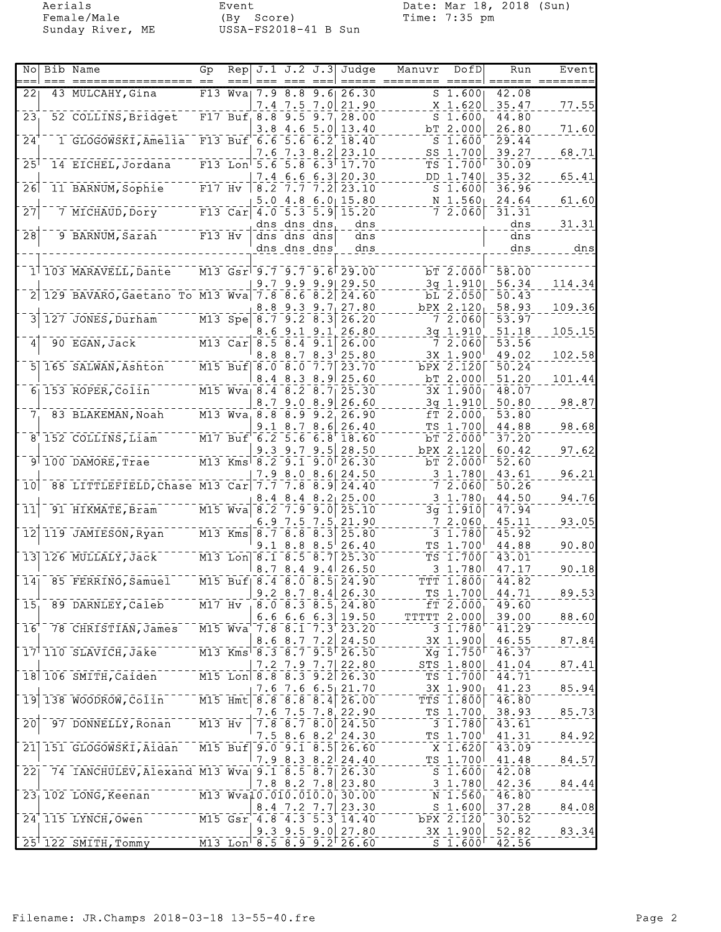Female/Male (By Score) Time: 7:35 pm Sunday River, ME USSA-FS2018-41 B Sun

Aerials Event Date: Mar 18, 2018 (Sun)

| Nol                        | Bib Name                                                                                                                                                                                                                                                                                                                                                                                                               | Gp       | Rep                               |            |                                                 |                  | $J.1 J.2 J.3$ Judge                                                                                                                                                                                                   | Manuvr | DofDl                             | Run<br>$== =$  | Event  |
|----------------------------|------------------------------------------------------------------------------------------------------------------------------------------------------------------------------------------------------------------------------------------------------------------------------------------------------------------------------------------------------------------------------------------------------------------------|----------|-----------------------------------|------------|-------------------------------------------------|------------------|-----------------------------------------------------------------------------------------------------------------------------------------------------------------------------------------------------------------------|--------|-----------------------------------|----------------|--------|
| 22                         | 43 MULCAHY, Gina                                                                                                                                                                                                                                                                                                                                                                                                       | F13      | Wva                               | 7.9        | 8.8                                             | 9.61             | 26.30                                                                                                                                                                                                                 |        | S <sub>1.600</sub>                | 42.08          |        |
| 23                         | 52 COLLINS, Bridget                                                                                                                                                                                                                                                                                                                                                                                                    |          | $F17$ Buf $8.8$ 9.5               |            |                                                 | 9.7 <sub>1</sub> | $7.4$ 7.5 7.0 21.90<br>28.00                                                                                                                                                                                          |        | X 1.620<br>S <sub>1.600</sub>     | 35.47<br>44.80 | 77.55  |
|                            |                                                                                                                                                                                                                                                                                                                                                                                                                        |          |                                   | 3.8        | 4.6                                             | 5.0              | 13.40                                                                                                                                                                                                                 |        | bT 2.000                          | 26.80          | 71.60  |
| $\overline{24}$            | 1 GLOGOWSKI, Amelia F13 Buf 6.6                                                                                                                                                                                                                                                                                                                                                                                        |          |                                   | 7.6        | $\overline{5.6}$                                | 6.2              | 18.40<br>23.10                                                                                                                                                                                                        |        | S <sub>1.600</sub><br>SS 1.700    | 29.44<br>39.27 | 68.71  |
| 25                         | 14 EICHEL, Jordana                                                                                                                                                                                                                                                                                                                                                                                                     |          | $F13$ Lon <sup>1</sup> 5.6 5.8    |            | 7.3 8.2                                         |                  | $6.3$ 17.70                                                                                                                                                                                                           |        | $TS$ 1.700                        | 30.09          |        |
|                            |                                                                                                                                                                                                                                                                                                                                                                                                                        |          |                                   |            | 7.4 6.6                                         | 6.3              | 20.30                                                                                                                                                                                                                 |        | DD 1.740                          | 35.32          | 65.41  |
| 26                         | 11 BARNUM, Sophie                                                                                                                                                                                                                                                                                                                                                                                                      | $F17$ Hv |                                   | 8.2<br>5.0 | 4.8                                             |                  | $7.77.2$ 23.10<br>$6.0$ 15.80                                                                                                                                                                                         |        | $S$ 1.600<br>$N_1.560$            | 36.96<br>24.64 | 61.60  |
| $\overline{27}$            | 7 MICHAUD, Dory                                                                                                                                                                                                                                                                                                                                                                                                        |          | $F13$ $Car$                       |            |                                                 |                  | $4.0$ 5.3 5.9 15.20                                                                                                                                                                                                   |        | $\bar{7}$ $\bar{2}$ , 060         | 31.31          |        |
|                            |                                                                                                                                                                                                                                                                                                                                                                                                                        |          |                                   |            | dns dns dns                                     |                  | dns                                                                                                                                                                                                                   |        |                                   | dns            | 31.31  |
| $\overline{28}$            | 9 BARNUM, Sarah                                                                                                                                                                                                                                                                                                                                                                                                        | F13 Hv   |                                   |            | dns dns dns<br>dns dns dns                      |                  | dns<br>dns                                                                                                                                                                                                            |        |                                   | dns<br>dns     | dns    |
|                            |                                                                                                                                                                                                                                                                                                                                                                                                                        |          |                                   |            |                                                 |                  |                                                                                                                                                                                                                       |        |                                   |                |        |
|                            | 1 103 MARAVELL, Dante                                                                                                                                                                                                                                                                                                                                                                                                  |          |                                   |            |                                                 |                  | M13 Gsr 9.7 9.7 9.6 29.00                                                                                                                                                                                             |        | bT 2.000                          | 58.00          |        |
|                            | 2 129 BAVARO, Gaetano To M13 Wva 7.8 8.6 8.2 24.60                                                                                                                                                                                                                                                                                                                                                                     |          |                                   |            | 9.79.9                                          |                  | $9.9$   29.50                                                                                                                                                                                                         |        | $3g$ 1.910<br>bL 2.050            | 56.34<br>50.43 | 114.34 |
|                            |                                                                                                                                                                                                                                                                                                                                                                                                                        |          |                                   | 8.8        |                                                 |                  | $9.3$ $9.7$ 27.80                                                                                                                                                                                                     |        | $bPX$ 2.120                       | 58.93          | 109.36 |
|                            | 127 JONES, Durham M13 Spe                                                                                                                                                                                                                                                                                                                                                                                              |          |                                   | 8.6        | $8.7$ 9.2 $8.3$<br>$9.1$ $9.1$                  |                  | 26.20<br>26.80                                                                                                                                                                                                        |        | $7 - 2.060$<br>3g 1.910           | 53.97<br>51.18 |        |
| $\overline{4}$             | $90$ EGAN, $\overline{Jac}$ $\overline{k}$ $\overline{k}$ $\overline{k}$ $\overline{k}$ $\overline{k}$ $\overline{k}$ $\overline{k}$ $\overline{k}$ $\overline{k}$ $\overline{k}$ $\overline{k}$ $\overline{k}$ $\overline{k}$ $\overline{k}$ $\overline{k}$ $\overline{k}$ $\overline{k}$ $\overline{k}$ $\overline{k}$ $\overline{k}$ $\overline{k}$ $\overline{k}$ $\overline{k}$ $\overline{k}$ $\overline{k}$ $\$ |          | $\overline{M13}$ $\overline{Car}$ |            | 8.5 8.4 9.1                                     |                  | 26.00                                                                                                                                                                                                                 |        | 7 2.060                           | 53.56          | 105.15 |
|                            |                                                                                                                                                                                                                                                                                                                                                                                                                        |          |                                   | 8.8        | 8.7                                             | $8.3^{\circ}$    | 25.80                                                                                                                                                                                                                 |        | $3X \; 1.900$                     | 49.02          | 102.58 |
|                            | 5 165 SALWAN, Ashton M15 Buf 8.0 8.0                                                                                                                                                                                                                                                                                                                                                                                   |          |                                   |            |                                                 | 7.7              | 23.70<br>8.4 8.3 8.9 25.60                                                                                                                                                                                            |        | bPX 2.120<br>bT 2.000             | 50.24<br>51.20 | 101.44 |
|                            | $6\overline{)153}$ ROPER, Colin <sup>-------</sup>                                                                                                                                                                                                                                                                                                                                                                     |          | $M15$ Wva $8.4$ $8.2$ $8.7$       |            |                                                 |                  | 25.30                                                                                                                                                                                                                 |        | 3X 1.900                          | 48.07          |        |
|                            |                                                                                                                                                                                                                                                                                                                                                                                                                        |          |                                   | 8.7        |                                                 | 9.08.9           | 26.60                                                                                                                                                                                                                 |        | $3q$ 1.910                        | 50.80          | 98.87  |
| 7 <sub>1</sub>             | 83 BLAKEMAN, Noah                                                                                                                                                                                                                                                                                                                                                                                                      |          | $M13 Wva_8.8$                     | 9.1        | $\overline{8.9}$ $\overline{9.2}$               | 8.6              | 26.90<br>26.40                                                                                                                                                                                                        | fΤ     | 2.000<br>TS 1.700                 | 53.80<br>44.88 | 98.68  |
|                            | 8 152 COLLINS, Liam M17 Buf 6.2 5.6                                                                                                                                                                                                                                                                                                                                                                                    |          |                                   |            | 8.7                                             |                  | $6.8$ <sup>'</sup> 18.60                                                                                                                                                                                              |        | bT 2.000                          | 37.20          |        |
|                            |                                                                                                                                                                                                                                                                                                                                                                                                                        |          |                                   |            | $9.3$ 9.7 9.5                                   |                  | 28.50                                                                                                                                                                                                                 |        | bPX 2.120                         | 60.42          | 97.62  |
|                            | $9†100$ DAMORE, Trae                                                                                                                                                                                                                                                                                                                                                                                                   |          |                                   |            |                                                 |                  | M13 Kms 8.2 9.1 9.0 26.30<br>$7.9$ 8.0 8.6 24.50                                                                                                                                                                      |        | bT 2.000<br>$3\;1.780$            | 52.60<br>43.61 | 96.21  |
| 10                         | 88 LITTLEFIELD, Chase M13 Car 7.7 7.8 8.9 24.40                                                                                                                                                                                                                                                                                                                                                                        |          |                                   |            |                                                 |                  |                                                                                                                                                                                                                       |        | 72.060                            | 50.26          |        |
|                            |                                                                                                                                                                                                                                                                                                                                                                                                                        |          |                                   |            |                                                 |                  | $8.4$ 8.4 $8.2$ 25.00                                                                                                                                                                                                 |        | $3\;\;1.780_1$                    | 44.50          | 94.76  |
| $\bar{1}\bar{1}$           | 91 HIKMATE, Bram                                                                                                                                                                                                                                                                                                                                                                                                       |          | $- - -$ M15 Wva 8.2               | 6.9        | 7.5 7.5                                         |                  | $7.9$ 9.0 25.10<br>21.90                                                                                                                                                                                              |        | $3q$ 1.910<br>7 2.060             | 47.94<br>45.11 | 93.05  |
| $\overline{1}\overline{2}$ | 119 JAMIESON, Ryan                                                                                                                                                                                                                                                                                                                                                                                                     |          | $M13$ Kms                         |            | $\begin{bmatrix} 8.7 & 8.8 & 8.3 \end{bmatrix}$ |                  | 25.80                                                                                                                                                                                                                 |        | $3 \ 1.780$                       | 45.92          |        |
|                            |                                                                                                                                                                                                                                                                                                                                                                                                                        |          |                                   | 9.1        | 8.8                                             | 8.5              | 26.40                                                                                                                                                                                                                 |        | TS 1.700                          | 44.88          | 90.80  |
|                            | $13$ 126 MULLALY, Jack                                                                                                                                                                                                                                                                                                                                                                                                 |          | $\overline{M13}$ Lon 8.1 8.5 8.7  |            |                                                 |                  | 25.30<br>$8.7$ $8.4$ $9.4$ 26.50                                                                                                                                                                                      |        | TS 1.700<br>3 1.780               | 43.01<br>47.17 | 90.18  |
| 14 <sub>1</sub>            | 85 FERRINO, Samuel                                                                                                                                                                                                                                                                                                                                                                                                     |          |                                   |            |                                                 |                  | M15 Buf   8.4 8.0 8.5 24.90                                                                                                                                                                                           |        | TTT 1.800                         | 44.82          |        |
|                            | 89 DARNLEY, Caleb                                                                                                                                                                                                                                                                                                                                                                                                      |          |                                   |            |                                                 |                  | $9.2$ 8.7 8.4 26.30<br>$8.0$ $8.3$ $8.5$ <sub>1</sub> $24.80$                                                                                                                                                         |        | $TS$ 1.700                        | 44.71          | 89.53  |
| 15 <sub>1</sub>            |                                                                                                                                                                                                                                                                                                                                                                                                                        | $M17$ Hv |                                   |            | 6.6666.3                                        |                  | 19.50                                                                                                                                                                                                                 |        | $fT$ 2.000<br><b>TTTTT 2.000</b>  | 49.60<br>39.00 | 88.60  |
| 16                         | 78 CHRISTIAN, James                                                                                                                                                                                                                                                                                                                                                                                                    |          | $M15$ $Wva$                       |            |                                                 |                  | $7.8$ $8.1$ $7.3$ $23.20$                                                                                                                                                                                             |        | 3 1.780                           | 41.29          |        |
|                            | 17 110 SLAVICH, Jake                                                                                                                                                                                                                                                                                                                                                                                                   |          | $M13$ Kms <sup>1</sup>            |            | $8.6$ $8.7$ $7.2$                               |                  | 24.50<br>$8.3$ $8.7$ $9.5$ 26.50                                                                                                                                                                                      |        | 3X 1.900<br>$Xq \ 1.750$          | 46.55<br>46.37 | 87.84  |
|                            |                                                                                                                                                                                                                                                                                                                                                                                                                        |          |                                   | 7.2        | 7.9.7.7                                         |                  | 22.80                                                                                                                                                                                                                 |        | STS 1.800                         | 41.04          | 87.41  |
|                            | 18 106 SMITH, Caiden                                                                                                                                                                                                                                                                                                                                                                                                   |          |                                   |            |                                                 |                  | $\overline{M15}$ Lon <sup>-8.8-8.3-9.2<sup>[26.30</sup>]</sup>                                                                                                                                                        |        | TS 1.700                          | 44.71          |        |
| $\overline{19}$            | 138 WOODROW, Colin                                                                                                                                                                                                                                                                                                                                                                                                     |          | $\overline{M15}$ Hmt              |            |                                                 |                  | $7.6$ $7.6$ $6.5$ 21.70<br>8.8 8.8 8.4 26.00                                                                                                                                                                          |        | $3X_1.900$<br>$TTS$ 1.800         | 41.23<br>46.80 | 85.94  |
|                            |                                                                                                                                                                                                                                                                                                                                                                                                                        |          |                                   |            |                                                 |                  | $7.6$ $7.5$ $7.8$ 22.90                                                                                                                                                                                               |        | TS 1.700                          | 38.93          | 85.73  |
| $\overline{20}$            | 97 DONNELLY, Ronan                                                                                                                                                                                                                                                                                                                                                                                                     | $M13$ Hv |                                   |            |                                                 |                  | 7.8 8.7 8.0 24.50                                                                                                                                                                                                     |        | $\overline{3}$ $\overline{1.7}80$ | 43.61          |        |
|                            | 21 151 GLOGOWSKI, Aldan                                                                                                                                                                                                                                                                                                                                                                                                |          |                                   |            | $7.5$ 8.6 8.2                                   |                  | 24.30<br>M15 Buf 9.0 9.1 8.5 26.60                                                                                                                                                                                    |        | TS 1.700<br>$X \; 1.620$          | 41.31<br>43.09 | 84.92  |
|                            |                                                                                                                                                                                                                                                                                                                                                                                                                        |          |                                   |            |                                                 |                  | $7.9$ 8.3 8.2 24.40                                                                                                                                                                                                   |        | TS 1.700                          | 41.48          | 84.57  |
| 22                         | 74 IANCHULEV, Alexand M13 Wva 9.1 8.5 8.7 26.30                                                                                                                                                                                                                                                                                                                                                                        |          |                                   |            |                                                 |                  |                                                                                                                                                                                                                       |        | $S$ 1.600                         | 42.08          |        |
|                            | 23 102 LONG, Keenan                                                                                                                                                                                                                                                                                                                                                                                                    |          |                                   |            |                                                 |                  | $7.8$ 8.2 7.8 23.80<br>M13 Wva10.010.010.0 30.00                                                                                                                                                                      |        | $3 \; 1.780$<br>$N$ 1.560         | 42.36<br>46.80 | 84.44  |
|                            |                                                                                                                                                                                                                                                                                                                                                                                                                        |          |                                   |            | 8.4 7.2 7.7                                     |                  | 23.30                                                                                                                                                                                                                 |        | S <sub>1.600</sub>                | 37.28          | 84.08  |
|                            | $24$ <sup>+</sup> 115 LYNCH, Owen                                                                                                                                                                                                                                                                                                                                                                                      |          |                                   |            |                                                 |                  | $\overline{M15}$ $\overline{Gsr}$ <sup>-7</sup> $\overline{4}$ $\overline{.8}$ $\overline{4}$ $\overline{.3}$ $\overline{5}$ $\overline{.3}$ <sup>+</sup> $\overline{14}$ $\overline{.40}$<br>$9.3$ $9.5$ $9.0$ 27.80 |        | bPX 2.120<br>3X 1.900             | 30.52<br>52.82 | 83.34  |
|                            | $25$ <sup><math>-122</math></sup> SMITH, Tommy                                                                                                                                                                                                                                                                                                                                                                         |          |                                   |            |                                                 |                  | M13 Lon $8.5 8.9 9.2$ 26.60                                                                                                                                                                                           |        | $S$ 1.600                         | 42.56          |        |